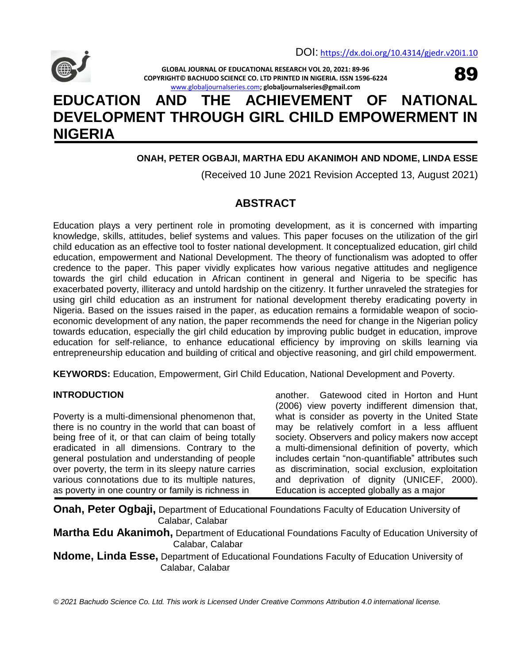

89

**GLOBAL JOURNAL OF EDUCATIONAL RESEARCH VOL 20, 2021: 89-96 COPYRIGHT© BACHUDO SCIENCE CO. LTD PRINTED IN NIGERIA. ISSN 1596-6224** [www.globaljournalseries.com](http://www.globaljournalseries.com/)**; globaljournalseries@gmail.com**

# **EDUCATION AND THE ACHIEVEMENT OF NATIONAL DEVELOPMENT THROUGH GIRL CHILD EMPOWERMENT IN NIGERIA**

# **ONAH, PETER OGBAJI, MARTHA EDU AKANIMOH AND NDOME, LINDA ESSE**

(Received 10 June 2021 Revision Accepted 13, August 2021)

# **ABSTRACT**

Education plays a very pertinent role in promoting development, as it is concerned with imparting knowledge, skills, attitudes, belief systems and values. This paper focuses on the utilization of the girl child education as an effective tool to foster national development. It conceptualized education, girl child education, empowerment and National Development. The theory of functionalism was adopted to offer credence to the paper. This paper vividly explicates how various negative attitudes and negligence towards the girl child education in African continent in general and Nigeria to be specific has exacerbated poverty, illiteracy and untold hardship on the citizenry. It further unraveled the strategies for using girl child education as an instrument for national development thereby eradicating poverty in Nigeria. Based on the issues raised in the paper, as education remains a formidable weapon of socioeconomic development of any nation, the paper recommends the need for change in the Nigerian policy towards education, especially the girl child education by improving public budget in education, improve education for self-reliance, to enhance educational efficiency by improving on skills learning via entrepreneurship education and building of critical and objective reasoning, and girl child empowerment.

**KEYWORDS:** Education, Empowerment, Girl Child Education, National Development and Poverty.

#### **INTRODUCTION**

Poverty is a multi-dimensional phenomenon that, there is no country in the world that can boast of being free of it, or that can claim of being totally eradicated in all dimensions. Contrary to the general postulation and understanding of people over poverty, the term in its sleepy nature carries various connotations due to its multiple natures, as poverty in one country or family is richness in

another. Gatewood cited in Horton and Hunt (2006) view poverty indifferent dimension that, what is consider as poverty in the United State may be relatively comfort in a less affluent society. Observers and policy makers now accept a multi-dimensional definition of poverty, which includes certain "non-quantifiable" attributes such as discrimination, social exclusion, exploitation and deprivation of dignity (UNICEF, 2000). Education is accepted globally as a major

**Onah, Peter Ogbaji,** Department of Educational Foundations Faculty of Education University of Calabar, Calabar

**Martha Edu Akanimoh,** Department of Educational Foundations Faculty of Education University of Calabar, Calabar

**Ndome, Linda Esse,** Department of Educational Foundations Faculty of Education University of Calabar, Calabar

*© 2021 Bachudo Science Co. Ltd. This work is Licensed Under Creative Commons Attribution 4.0 international license.*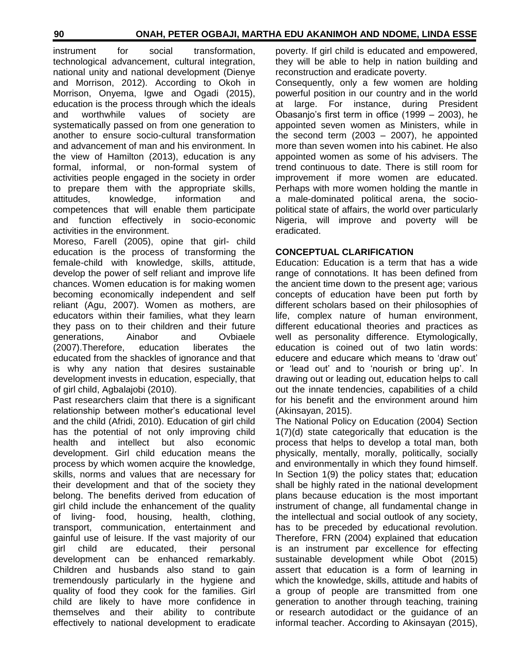instrument for social transformation, technological advancement, cultural integration, national unity and national development (Dienye and Morrison, 2012). According to Okoh in Morrison, Onyema, Igwe and Ogadi (2015), education is the process through which the ideals and worthwhile values of society are systematically passed on from one generation to another to ensure socio-cultural transformation and advancement of man and his environment. In the view of Hamilton (2013), education is any formal, informal, or non-formal system of activities people engaged in the society in order to prepare them with the appropriate skills, attitudes, knowledge, information and competences that will enable them participate and function effectively in socio-economic activities in the environment.

Moreso, Farell (2005), opine that girl- child education is the process of transforming the female-child with knowledge, skills, attitude, develop the power of self reliant and improve life chances. Women education is for making women becoming economically independent and self reliant (Agu, 2007). Women as mothers, are educators within their families, what they learn they pass on to their children and their future generations, Ainabor and Ovbiaele (2007).Therefore, education liberates the educated from the shackles of ignorance and that is why any nation that desires sustainable development invests in education, especially, that of girl child, Agbalajobi (2010).

Past researchers claim that there is a significant relationship between mother"s educational level and the child (Afridi, 2010). Education of girl child has the potential of not only improving child health and intellect but also economic development. Girl child education means the process by which women acquire the knowledge, skills, norms and values that are necessary for their development and that of the society they belong. The benefits derived from education of girl child include the enhancement of the quality of living- food, housing, health, clothing, transport, communication, entertainment and gainful use of leisure. If the vast majority of our girl child are educated, their personal development can be enhanced remarkably. Children and husbands also stand to gain tremendously particularly in the hygiene and quality of food they cook for the families. Girl child are likely to have more confidence in themselves and their ability to contribute effectively to national development to eradicate poverty. If girl child is educated and empowered, they will be able to help in nation building and reconstruction and eradicate poverty.

Consequently, only a few women are holding powerful position in our country and in the world at large. For instance, during President Obasanjo"s first term in office (1999 – 2003), he appointed seven women as Ministers, while in the second term  $(2003 - 2007)$ , he appointed more than seven women into his cabinet. He also appointed women as some of his advisers. The trend continuous to date. There is still room for improvement if more women are educated. Perhaps with more women holding the mantle in a male-dominated political arena, the sociopolitical state of affairs, the world over particularly Nigeria, will improve and poverty will be eradicated.

#### **CONCEPTUAL CLARIFICATION**

Education: Education is a term that has a wide range of connotations. It has been defined from the ancient time down to the present age; various concepts of education have been put forth by different scholars based on their philosophies of life, complex nature of human environment, different educational theories and practices as well as personality difference. Etymologically, education is coined out of two latin words: educere and educare which means to "draw out" or "lead out" and to "nourish or bring up". In drawing out or leading out, education helps to call out the innate tendencies, capabilities of a child for his benefit and the environment around him (Akinsayan, 2015).

The National Policy on Education (2004) Section 1(7)(d) state categorically that education is the process that helps to develop a total man, both physically, mentally, morally, politically, socially and environmentally in which they found himself. In Section 1(9) the policy states that; education shall be highly rated in the national development plans because education is the most important instrument of change, all fundamental change in the intellectual and social outlook of any society, has to be preceded by educational revolution. Therefore, FRN (2004) explained that education is an instrument par excellence for effecting sustainable development while Obot (2015) assert that education is a form of learning in which the knowledge, skills, attitude and habits of a group of people are transmitted from one generation to another through teaching, training or research autodidact or the guidance of an informal teacher. According to Akinsayan (2015),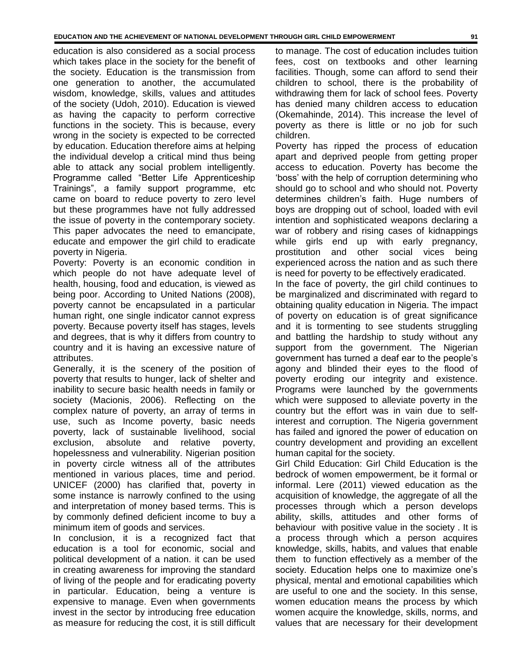education is also considered as a social process which takes place in the society for the benefit of the society. Education is the transmission from one generation to another, the accumulated wisdom, knowledge, skills, values and attitudes of the society (Udoh, 2010). Education is viewed as having the capacity to perform corrective functions in the society. This is because, every wrong in the society is expected to be corrected by education. Education therefore aims at helping the individual develop a critical mind thus being able to attack any social problem intelligently. Programme called "Better Life Apprenticeship Trainings", a family support programme, etc came on board to reduce poverty to zero level but these programmes have not fully addressed the issue of poverty in the contemporary society. This paper advocates the need to emancipate, educate and empower the girl child to eradicate poverty in Nigeria.

Poverty: Poverty is an economic condition in which people do not have adequate level of health, housing, food and education, is viewed as being poor. According to United Nations (2008), poverty cannot be encapsulated in a particular human right, one single indicator cannot express poverty. Because poverty itself has stages, levels and degrees, that is why it differs from country to country and it is having an excessive nature of attributes.

Generally, it is the scenery of the position of poverty that results to hunger, lack of shelter and inability to secure basic health needs in family or society (Macionis, 2006). Reflecting on the complex nature of poverty, an array of terms in use, such as Income poverty, basic needs poverty, lack of sustainable livelihood, social exclusion, absolute and relative poverty, hopelessness and vulnerability. Nigerian position in poverty circle witness all of the attributes mentioned in various places, time and period. UNICEF (2000) has clarified that, poverty in some instance is narrowly confined to the using and interpretation of money based terms. This is by commonly defined deficient income to buy a minimum item of goods and services.

In conclusion, it is a recognized fact that education is a tool for economic, social and political development of a nation. it can be used in creating awareness for improving the standard of living of the people and for eradicating poverty in particular. Education, being a venture is expensive to manage. Even when governments invest in the sector by introducing free education as measure for reducing the cost, it is still difficult

to manage. The cost of education includes tuition fees, cost on textbooks and other learning facilities. Though, some can afford to send their children to school, there is the probability of withdrawing them for lack of school fees. Poverty has denied many children access to education (Okemahinde, 2014). This increase the level of poverty as there is little or no job for such children.

Poverty has ripped the process of education apart and deprived people from getting proper access to education. Poverty has become the "boss" with the help of corruption determining who should go to school and who should not. Poverty determines children"s faith. Huge numbers of boys are dropping out of school, loaded with evil intention and sophisticated weapons declaring a war of robbery and rising cases of kidnappings while girls end up with early pregnancy, prostitution and other social vices being experienced across the nation and as such there is need for poverty to be effectively eradicated.

In the face of poverty, the girl child continues to be marginalized and discriminated with regard to obtaining quality education in Nigeria. The impact of poverty on education is of great significance and it is tormenting to see students struggling and battling the hardship to study without any support from the government. The Nigerian government has turned a deaf ear to the people"s agony and blinded their eyes to the flood of poverty eroding our integrity and existence. Programs were launched by the governments which were supposed to alleviate poverty in the country but the effort was in vain due to selfinterest and corruption. The Nigeria government has failed and ignored the power of education on country development and providing an excellent human capital for the society.

Girl Child Education: Girl Child Education is the bedrock of women empowerment, be it formal or informal. Lere (2011) viewed education as the acquisition of knowledge, the aggregate of all the processes through which a person develops ability, skills, attitudes and other forms of behaviour with positive value in the society . It is a process through which a person acquires knowledge, skills, habits, and values that enable them to function effectively as a member of the society. Education helps one to maximize one's physical, mental and emotional capabilities which are useful to one and the society. In this sense, women education means the process by which women acquire the knowledge, skills, norms, and values that are necessary for their development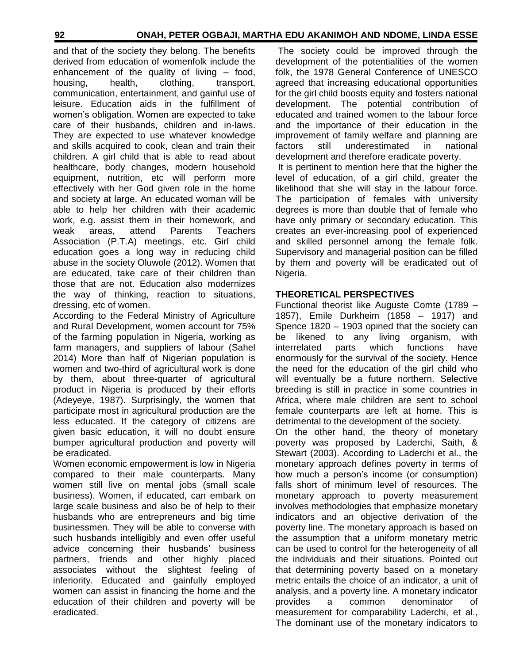and that of the society they belong. The benefits derived from education of womenfolk include the enhancement of the quality of living – food, housing, health, clothing, transport, communication, entertainment, and gainful use of leisure. Education aids in the fulfillment of women"s obligation. Women are expected to take care of their husbands, children and in-laws. They are expected to use whatever knowledge and skills acquired to cook, clean and train their children. A girl child that is able to read about healthcare, body changes, modern household equipment, nutrition, etc will perform more effectively with her God given role in the home and society at large. An educated woman will be able to help her children with their academic work, e.g. assist them in their homework, and weak areas, attend Parents Teachers Association (P.T.A) meetings, etc. Girl child education goes a long way in reducing child abuse in the society Oluwole (2012). Women that are educated, take care of their children than those that are not. Education also modernizes the way of thinking, reaction to situations, dressing, etc of women.

According to the Federal Ministry of Agriculture and Rural Development, women account for 75% of the farming population in Nigeria, working as farm managers, and suppliers of labour (Sahel 2014) More than half of Nigerian population is women and two-third of agricultural work is done by them, about three-quarter of agricultural product in Nigeria is produced by their efforts (Adeyeye, 1987). Surprisingly, the women that participate most in agricultural production are the less educated. If the category of citizens are given basic education, it will no doubt ensure bumper agricultural production and poverty will be eradicated.

Women economic empowerment is low in Nigeria compared to their male counterparts. Many women still live on mental jobs (small scale business). Women, if educated, can embark on large scale business and also be of help to their husbands who are entrepreneurs and big time businessmen. They will be able to converse with such husbands intelligibly and even offer useful advice concerning their husbands" business partners, friends and other highly placed associates without the slightest feeling of inferiority. Educated and gainfully employed women can assist in financing the home and the education of their children and poverty will be eradicated.

The society could be improved through the development of the potentialities of the women folk, the 1978 General Conference of UNESCO agreed that increasing educational opportunities for the girl child boosts equity and fosters national development. The potential contribution of educated and trained women to the labour force and the importance of their education in the improvement of family welfare and planning are factors still underestimated in national development and therefore eradicate poverty. It is pertinent to mention here that the higher the level of education, of a girl child, greater the likelihood that she will stay in the labour force.

The participation of females with university degrees is more than double that of female who have only primary or secondary education. This creates an ever-increasing pool of experienced and skilled personnel among the female folk. Supervisory and managerial position can be filled by them and poverty will be eradicated out of Nigeria.

#### **THEORETICAL PERSPECTIVES**

Functional theorist like Auguste Comte (1789 – 1857), Emile Durkheim (1858 – 1917) and Spence 1820 – 1903 opined that the society can be likened to any living organism, with interrelated parts which functions have enormously for the survival of the society. Hence the need for the education of the girl child who will eventually be a future northern. Selective breeding is still in practice in some countries in Africa, where male children are sent to school female counterparts are left at home. This is detrimental to the development of the society.

On the other hand, the theory of monetary poverty was proposed by Laderchi, Saith, & Stewart (2003). According to Laderchi et al., the monetary approach defines poverty in terms of how much a person"s income (or consumption) falls short of minimum level of resources. The monetary approach to poverty measurement involves methodologies that emphasize monetary indicators and an objective derivation of the poverty line. The monetary approach is based on the assumption that a uniform monetary metric can be used to control for the heterogeneity of all the individuals and their situations. Pointed out that determining poverty based on a monetary metric entails the choice of an indicator, a unit of analysis, and a poverty line. A monetary indicator provides a common denominator of measurement for comparability Laderchi, et al., The dominant use of the monetary indicators to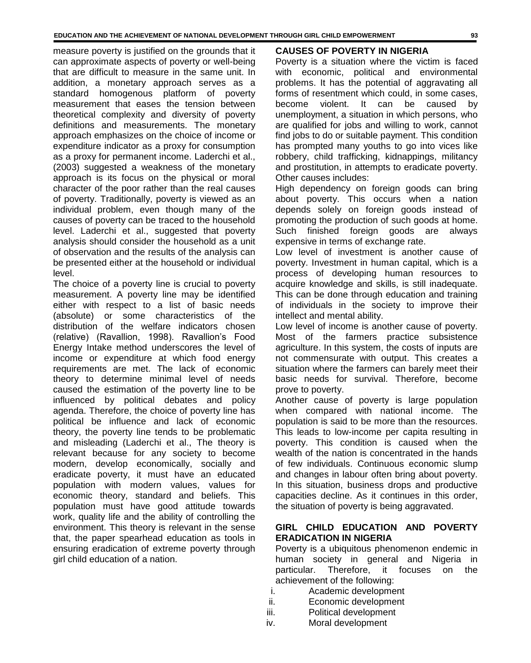measure poverty is justified on the grounds that it can approximate aspects of poverty or well-being that are difficult to measure in the same unit. In addition, a monetary approach serves as a standard homogenous platform of poverty measurement that eases the tension between theoretical complexity and diversity of poverty definitions and measurements. The monetary approach emphasizes on the choice of income or expenditure indicator as a proxy for consumption as a proxy for permanent income. Laderchi et al., (2003) suggested a weakness of the monetary approach is its focus on the physical or moral character of the poor rather than the real causes of poverty. Traditionally, poverty is viewed as an individual problem, even though many of the causes of poverty can be traced to the household level. Laderchi et al., suggested that poverty analysis should consider the household as a unit of observation and the results of the analysis can be presented either at the household or individual level.

The choice of a poverty line is crucial to poverty measurement. A poverty line may be identified either with respect to a list of basic needs (absolute) or some characteristics of the distribution of the welfare indicators chosen (relative) (Ravallion, 1998). Ravallion"s Food Energy Intake method underscores the level of income or expenditure at which food energy requirements are met. The lack of economic theory to determine minimal level of needs caused the estimation of the poverty line to be influenced by political debates and policy agenda. Therefore, the choice of poverty line has political be influence and lack of economic theory, the poverty line tends to be problematic and misleading (Laderchi et al., The theory is relevant because for any society to become modern, develop economically, socially and eradicate poverty, it must have an educated population with modern values, values for economic theory, standard and beliefs. This population must have good attitude towards work, quality life and the ability of controlling the environment. This theory is relevant in the sense that, the paper spearhead education as tools in ensuring eradication of extreme poverty through girl child education of a nation.

#### **CAUSES OF POVERTY IN NIGERIA**

Poverty is a situation where the victim is faced with economic, political and environmental problems. It has the potential of aggravating all forms of resentment which could, in some cases, become violent. It can be caused by unemployment, a situation in which persons, who are qualified for jobs and willing to work, cannot find jobs to do or suitable payment. This condition has prompted many youths to go into vices like robbery, child trafficking, kidnappings, militancy and prostitution, in attempts to eradicate poverty. Other causes includes:

High dependency on foreign goods can bring about poverty. This occurs when a nation depends solely on foreign goods instead of promoting the production of such goods at home. Such finished foreign goods are always expensive in terms of exchange rate.

Low level of investment is another cause of poverty. Investment in human capital, which is a process of developing human resources to acquire knowledge and skills, is still inadequate. This can be done through education and training of individuals in the society to improve their intellect and mental ability.

Low level of income is another cause of poverty. Most of the farmers practice subsistence agriculture. In this system, the costs of inputs are not commensurate with output. This creates a situation where the farmers can barely meet their basic needs for survival. Therefore, become prove to poverty.

Another cause of poverty is large population when compared with national income. The population is said to be more than the resources. This leads to low-income per capita resulting in poverty. This condition is caused when the wealth of the nation is concentrated in the hands of few individuals. Continuous economic slump and changes in labour often bring about poverty. In this situation, business drops and productive capacities decline. As it continues in this order, the situation of poverty is being aggravated.

#### **GIRL CHILD EDUCATION AND POVERTY ERADICATION IN NIGERIA**

Poverty is a ubiquitous phenomenon endemic in human society in general and Nigeria in particular. Therefore, it focuses on the achievement of the following:

- i. Academic development
- ii. Economic development
- iii. Political development
- iv. Moral development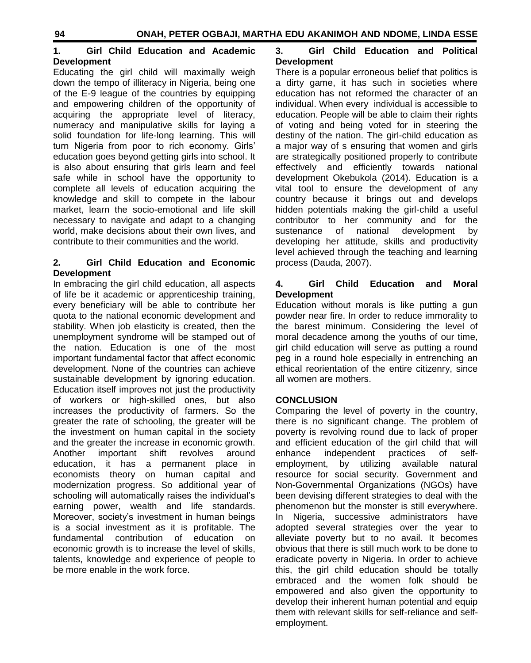#### **1. Girl Child Education and Academic Development**

Educating the girl child will maximally weigh down the tempo of illiteracy in Nigeria, being one of the E-9 league of the countries by equipping and empowering children of the opportunity of acquiring the appropriate level of literacy, numeracy and manipulative skills for laying a solid foundation for life-long learning. This will turn Nigeria from poor to rich economy. Girls" education goes beyond getting girls into school. It is also about ensuring that girls learn and feel safe while in school have the opportunity to complete all levels of education acquiring the knowledge and skill to compete in the labour market, learn the socio-emotional and life skill necessary to navigate and adapt to a changing world, make decisions about their own lives, and contribute to their communities and the world.

#### **2. Girl Child Education and Economic Development**

In embracing the girl child education, all aspects of life be it academic or apprenticeship training, every beneficiary will be able to contribute her quota to the national economic development and stability. When job elasticity is created, then the unemployment syndrome will be stamped out of the nation. Education is one of the most important fundamental factor that affect economic development. None of the countries can achieve sustainable development by ignoring education. Education itself improves not just the productivity of workers or high-skilled ones, but also increases the productivity of farmers. So the greater the rate of schooling, the greater will be the investment on human capital in the society and the greater the increase in economic growth. Another important shift revolves around education, it has a permanent place in economists theory on human capital and modernization progress. So additional year of schooling will automatically raises the individual's earning power, wealth and life standards. Moreover, society"s investment in human beings is a social investment as it is profitable. The fundamental contribution of education on economic growth is to increase the level of skills, talents, knowledge and experience of people to be more enable in the work force.

## **3. Girl Child Education and Political Development**

There is a popular erroneous belief that politics is a dirty game, it has such in societies where education has not reformed the character of an individual. When every individual is accessible to education. People will be able to claim their rights of voting and being voted for in steering the destiny of the nation. The girl-child education as a major way of s ensuring that women and girls are strategically positioned properly to contribute effectively and efficiently towards national development Okebukola (2014). Education is a vital tool to ensure the development of any country because it brings out and develops hidden potentials making the girl-child a useful contributor to her community and for the sustenance of national development by developing her attitude, skills and productivity level achieved through the teaching and learning process (Dauda, 2007).

### **4. Girl Child Education and Moral Development**

Education without morals is like putting a gun powder near fire. In order to reduce immorality to the barest minimum. Considering the level of moral decadence among the youths of our time, girl child education will serve as putting a round peg in a round hole especially in entrenching an ethical reorientation of the entire citizenry, since all women are mothers.

# **CONCLUSION**

Comparing the level of poverty in the country, there is no significant change. The problem of poverty is revolving round due to lack of proper and efficient education of the girl child that will enhance independent practices of selfemployment, by utilizing available natural resource for social security. Government and Non-Governmental Organizations (NGOs) have been devising different strategies to deal with the phenomenon but the monster is still everywhere. In Nigeria, successive administrators have adopted several strategies over the year to alleviate poverty but to no avail. It becomes obvious that there is still much work to be done to eradicate poverty in Nigeria. In order to achieve this, the girl child education should be totally embraced and the women folk should be empowered and also given the opportunity to develop their inherent human potential and equip them with relevant skills for self-reliance and selfemployment.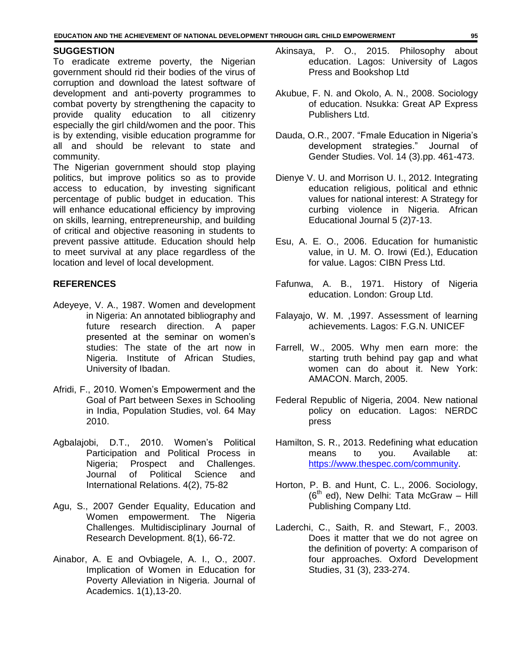#### **SUGGESTION**

To eradicate extreme poverty, the Nigerian government should rid their bodies of the virus of corruption and download the latest software of development and anti-poverty programmes to combat poverty by strengthening the capacity to provide quality education to all citizenry especially the girl child/women and the poor. This is by extending, visible education programme for all and should be relevant to state and community.

The Nigerian government should stop playing politics, but improve politics so as to provide access to education, by investing significant percentage of public budget in education. This will enhance educational efficiency by improving on skills, learning, entrepreneurship, and building of critical and objective reasoning in students to prevent passive attitude. Education should help to meet survival at any place regardless of the location and level of local development.

#### **REFERENCES**

- Adeyeye, V. A., 1987. Women and development in Nigeria: An annotated bibliography and future research direction. A paper presented at the seminar on women"s studies: The state of the art now in Nigeria. Institute of African Studies, University of Ibadan.
- Afridi, F., 2010. Women"s Empowerment and the Goal of Part between Sexes in Schooling in India, Population Studies, vol. 64 May 2010.
- Agbalajobi, D.T., 2010. Women's Political Participation and Political Process in Nigeria; Prospect and Challenges. Journal of Political Science and International Relations. 4(2), 75-82
- Agu, S., 2007 Gender Equality, Education and Women empowerment. The Nigeria Challenges. Multidisciplinary Journal of Research Development. 8(1), 66-72.
- Ainabor, A. E and Ovbiagele, A. I., O., 2007. Implication of Women in Education for Poverty Alleviation in Nigeria. Journal of Academics. 1(1),13-20.
- Akinsaya, P. O., 2015. Philosophy about education. Lagos: University of Lagos Press and Bookshop Ltd
- Akubue, F. N. and Okolo, A. N., 2008. Sociology of education. Nsukka: Great AP Express Publishers Ltd.
- Dauda, O.R., 2007. "Fmale Education in Nigeria"s development strategies." Journal of Gender Studies. Vol. 14 (3).pp. 461-473.
- Dienye V. U. and Morrison U. I., 2012. Integrating education religious, political and ethnic values for national interest: A Strategy for curbing violence in Nigeria. African Educational Journal 5 (2)7-13.
- Esu, A. E. O., 2006. Education for humanistic value, in U. M. O. Irowi (Ed.), Education for value. Lagos: CIBN Press Ltd.
- Fafunwa, A. B., 1971. History of Nigeria education. London: Group Ltd.
- Falayajo, W. M. ,1997. Assessment of learning achievements. Lagos: F.G.N. UNICEF
- Farrell, W., 2005. Why men earn more: the starting truth behind pay gap and what women can do about it. New York: AMACON. March, 2005.
- Federal Republic of Nigeria, 2004. New national policy on education. Lagos: NERDC press
- Hamilton, S. R., 2013. Redefining what education means to you. Available at: [https://www.thespec.com/community.](https://www.thespec.com/community)
- Horton, P. B. and Hunt, C. L., 2006. Sociology,  $(6<sup>th</sup>$  ed), New Delhi: Tata McGraw – Hill Publishing Company Ltd.
- Laderchi, C., Saith, R. and Stewart, F., 2003. Does it matter that we do not agree on the definition of poverty: A comparison of four approaches. Oxford Development Studies, 31 (3), 233-274.